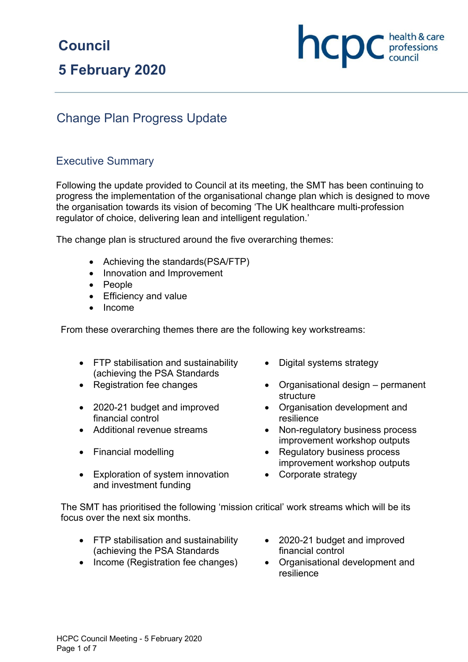# **Council**

# **5 February 2020**

# Change Plan Progress Update

## Executive Summary

Following the update provided to Council at its meeting, the SMT has been continuing to progress the implementation of the organisational change plan which is designed to move the organisation towards its vision of becoming 'The UK healthcare multi-profession regulator of choice, delivering lean and intelligent regulation.'

The change plan is structured around the five overarching themes:

- Achieving the standards(PSA/FTP)
- Innovation and Improvement
- People
- Efficiency and value
- Income

From these overarching themes there are the following key workstreams:

- FTP stabilisation and sustainability (achieving the PSA Standards
- 
- 2020-21 budget and improved financial control
- 
- 
- Exploration of system innovation and investment funding
- Digital systems strategy
- Registration fee changes Organisational design permanent structure

**NCDC** *c health & care* 

- Organisation development and resilience
- Additional revenue streams Non-regulatory business process improvement workshop outputs
- Financial modelling example and the Regulatory business process improvement workshop outputs
	- Corporate strategy

The SMT has prioritised the following 'mission critical' work streams which will be its focus over the next six months.

- FTP stabilisation and sustainability (achieving the PSA Standards
- Income (Registration fee changes) Organisational development and
- 2020-21 budget and improved financial control
	- resilience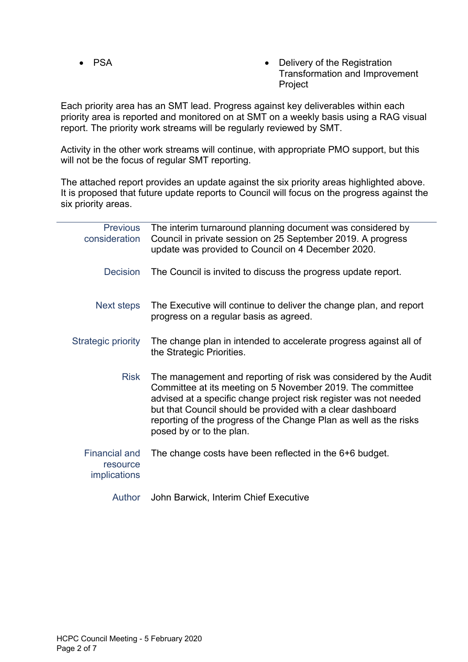- 
- PSA Delivery of the Registration Transformation and Improvement Project

Each priority area has an SMT lead. Progress against key deliverables within each priority area is reported and monitored on at SMT on a weekly basis using a RAG visual report. The priority work streams will be regularly reviewed by SMT.

Activity in the other work streams will continue, with appropriate PMO support, but this will not be the focus of regular SMT reporting.

The attached report provides an update against the six priority areas highlighted above. It is proposed that future update reports to Council will focus on the progress against the six priority areas.

| <b>Previous</b><br>consideration                        | The interim turnaround planning document was considered by<br>Council in private session on 25 September 2019. A progress<br>update was provided to Council on 4 December 2020.                                                                                                                                                                                    |
|---------------------------------------------------------|--------------------------------------------------------------------------------------------------------------------------------------------------------------------------------------------------------------------------------------------------------------------------------------------------------------------------------------------------------------------|
| <b>Decision</b>                                         | The Council is invited to discuss the progress update report.                                                                                                                                                                                                                                                                                                      |
| <b>Next steps</b>                                       | The Executive will continue to deliver the change plan, and report<br>progress on a regular basis as agreed.                                                                                                                                                                                                                                                       |
| Strategic priority                                      | The change plan in intended to accelerate progress against all of<br>the Strategic Priorities.                                                                                                                                                                                                                                                                     |
| <b>Risk</b>                                             | The management and reporting of risk was considered by the Audit<br>Committee at its meeting on 5 November 2019. The committee<br>advised at a specific change project risk register was not needed<br>but that Council should be provided with a clear dashboard<br>reporting of the progress of the Change Plan as well as the risks<br>posed by or to the plan. |
| <b>Financial and</b><br>resource<br><i>implications</i> | The change costs have been reflected in the 6+6 budget.                                                                                                                                                                                                                                                                                                            |
| <b>Author</b>                                           | John Barwick, Interim Chief Executive                                                                                                                                                                                                                                                                                                                              |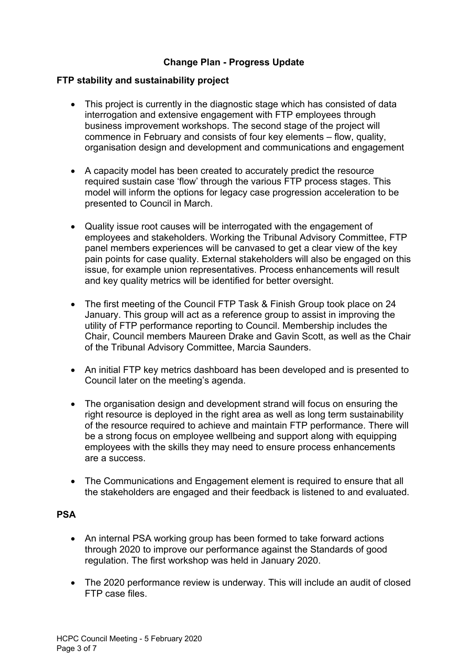## **Change Plan - Progress Update**

### **FTP stability and sustainability project**

- This project is currently in the diagnostic stage which has consisted of data interrogation and extensive engagement with FTP employees through business improvement workshops. The second stage of the project will commence in February and consists of four key elements – flow, quality, organisation design and development and communications and engagement
- A capacity model has been created to accurately predict the resource required sustain case 'flow' through the various FTP process stages. This model will inform the options for legacy case progression acceleration to be presented to Council in March.
- Quality issue root causes will be interrogated with the engagement of employees and stakeholders. Working the Tribunal Advisory Committee, FTP panel members experiences will be canvased to get a clear view of the key pain points for case quality. External stakeholders will also be engaged on this issue, for example union representatives. Process enhancements will result and key quality metrics will be identified for better oversight.
- The first meeting of the Council FTP Task & Finish Group took place on 24 January. This group will act as a reference group to assist in improving the utility of FTP performance reporting to Council. Membership includes the Chair, Council members Maureen Drake and Gavin Scott, as well as the Chair of the Tribunal Advisory Committee, Marcia Saunders.
- An initial FTP key metrics dashboard has been developed and is presented to Council later on the meeting's agenda.
- The organisation design and development strand will focus on ensuring the right resource is deployed in the right area as well as long term sustainability of the resource required to achieve and maintain FTP performance. There will be a strong focus on employee wellbeing and support along with equipping employees with the skills they may need to ensure process enhancements are a success.
- The Communications and Engagement element is required to ensure that all the stakeholders are engaged and their feedback is listened to and evaluated.

#### **PSA**

- An internal PSA working group has been formed to take forward actions through 2020 to improve our performance against the Standards of good regulation. The first workshop was held in January 2020.
- The 2020 performance review is underway. This will include an audit of closed FTP case files.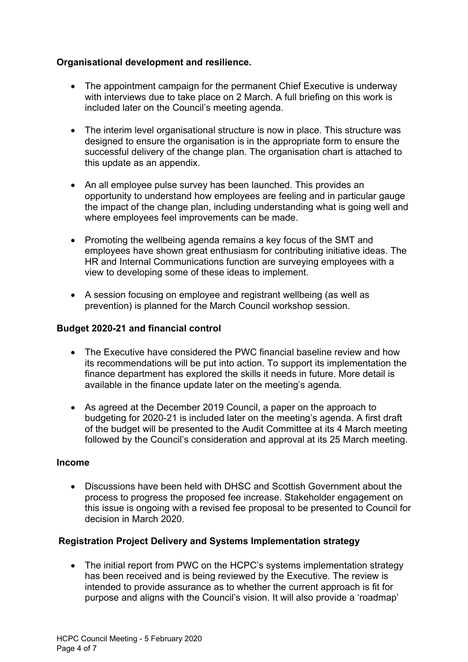## **Organisational development and resilience.**

- The appointment campaign for the permanent Chief Executive is underway with interviews due to take place on 2 March. A full briefing on this work is included later on the Council's meeting agenda.
- The interim level organisational structure is now in place. This structure was designed to ensure the organisation is in the appropriate form to ensure the successful delivery of the change plan. The organisation chart is attached to this update as an appendix.
- An all employee pulse survey has been launched. This provides an opportunity to understand how employees are feeling and in particular gauge the impact of the change plan, including understanding what is going well and where employees feel improvements can be made.
- Promoting the wellbeing agenda remains a key focus of the SMT and employees have shown great enthusiasm for contributing initiative ideas. The HR and Internal Communications function are surveying employees with a view to developing some of these ideas to implement.
- A session focusing on employee and registrant wellbeing (as well as prevention) is planned for the March Council workshop session.

### **Budget 2020-21 and financial control**

- The Executive have considered the PWC financial baseline review and how its recommendations will be put into action. To support its implementation the finance department has explored the skills it needs in future. More detail is available in the finance update later on the meeting's agenda.
- As agreed at the December 2019 Council, a paper on the approach to budgeting for 2020-21 is included later on the meeting's agenda. A first draft of the budget will be presented to the Audit Committee at its 4 March meeting followed by the Council's consideration and approval at its 25 March meeting.

#### **Income**

• Discussions have been held with DHSC and Scottish Government about the process to progress the proposed fee increase. Stakeholder engagement on this issue is ongoing with a revised fee proposal to be presented to Council for decision in March 2020.

#### **Registration Project Delivery and Systems Implementation strategy**

• The initial report from PWC on the HCPC's systems implementation strategy has been received and is being reviewed by the Executive. The review is intended to provide assurance as to whether the current approach is fit for purpose and aligns with the Council's vision. It will also provide a 'roadmap'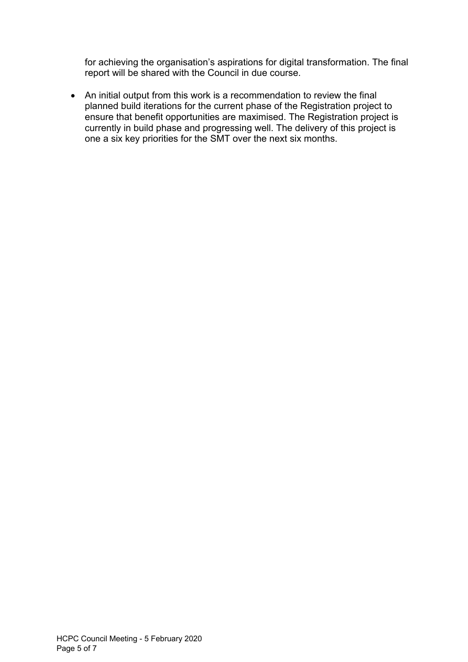for achieving the organisation's aspirations for digital transformation. The final report will be shared with the Council in due course.

• An initial output from this work is a recommendation to review the final planned build iterations for the current phase of the Registration project to ensure that benefit opportunities are maximised. The Registration project is currently in build phase and progressing well. The delivery of this project is one a six key priorities for the SMT over the next six months.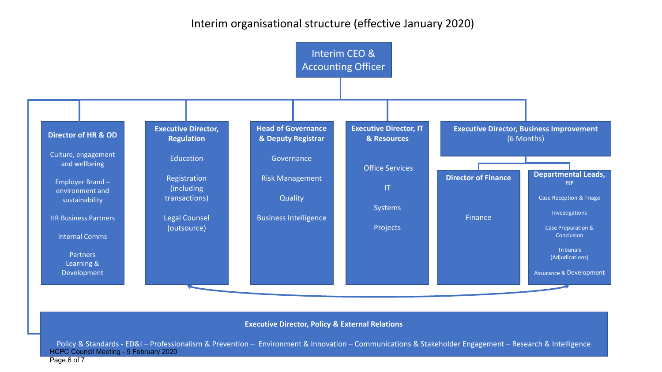# Interim organisational structure (effective January 2020)



#### **Executive Director, Policy & External Relations**

Policy & Standards - ED&I – Professionalism & Prevention – Environment & Innovation – Communications & Stakeholder Engagement – Research & Intelligence HCPC Council Meeting - 5 February 2020

Page 6 of 7